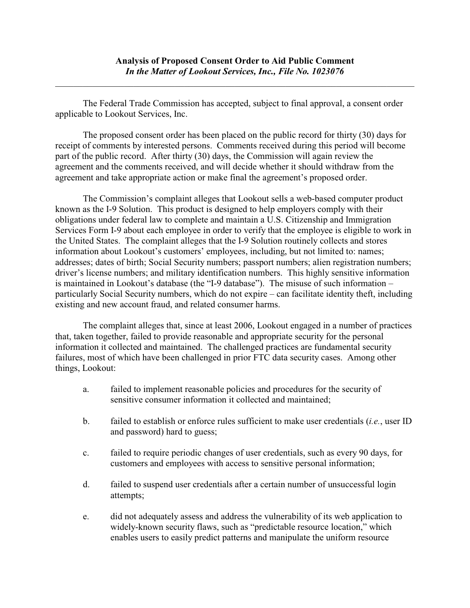The Federal Trade Commission has accepted, subject to final approval, a consent order applicable to Lookout Services, Inc.

The proposed consent order has been placed on the public record for thirty (30) days for receipt of comments by interested persons. Comments received during this period will become part of the public record. After thirty (30) days, the Commission will again review the agreement and the comments received, and will decide whether it should withdraw from the agreement and take appropriate action or make final the agreement's proposed order.

The Commission's complaint alleges that Lookout sells a web-based computer product known as the I-9 Solution. This product is designed to help employers comply with their obligations under federal law to complete and maintain a U.S. Citizenship and Immigration Services Form I-9 about each employee in order to verify that the employee is eligible to work in the United States. The complaint alleges that the I-9 Solution routinely collects and stores information about Lookout's customers' employees, including, but not limited to: names; addresses; dates of birth; Social Security numbers; passport numbers; alien registration numbers; driver's license numbers; and military identification numbers. This highly sensitive information is maintained in Lookout's database (the "I-9 database"). The misuse of such information – particularly Social Security numbers, which do not expire – can facilitate identity theft, including existing and new account fraud, and related consumer harms.

The complaint alleges that, since at least 2006, Lookout engaged in a number of practices that, taken together, failed to provide reasonable and appropriate security for the personal information it collected and maintained. The challenged practices are fundamental security failures, most of which have been challenged in prior FTC data security cases. Among other things, Lookout:

- a. failed to implement reasonable policies and procedures for the security of sensitive consumer information it collected and maintained;
- b. failed to establish or enforce rules sufficient to make user credentials (*i.e.*, user ID and password) hard to guess;
- c. failed to require periodic changes of user credentials, such as every 90 days, for customers and employees with access to sensitive personal information;
- d. failed to suspend user credentials after a certain number of unsuccessful login attempts;
- e. did not adequately assess and address the vulnerability of its web application to widely-known security flaws, such as "predictable resource location," which enables users to easily predict patterns and manipulate the uniform resource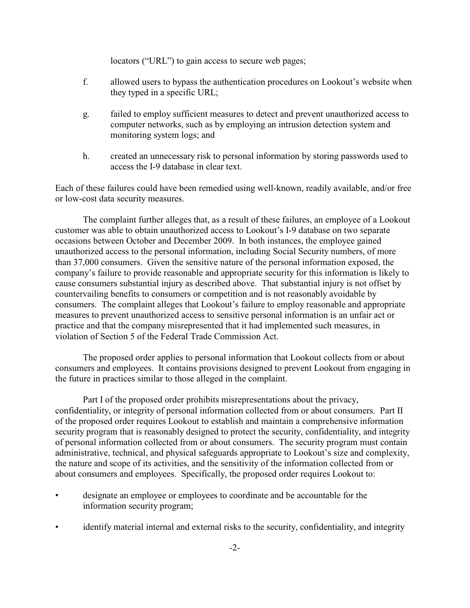locators ("URL") to gain access to secure web pages;

- f. allowed users to bypass the authentication procedures on Lookout's website when they typed in a specific URL;
- g. failed to employ sufficient measures to detect and prevent unauthorized access to computer networks, such as by employing an intrusion detection system and monitoring system logs; and
- h. created an unnecessary risk to personal information by storing passwords used to access the I-9 database in clear text.

Each of these failures could have been remedied using well-known, readily available, and/or free or low-cost data security measures.

The complaint further alleges that, as a result of these failures, an employee of a Lookout customer was able to obtain unauthorized access to Lookout's I-9 database on two separate occasions between October and December 2009. In both instances, the employee gained unauthorized access to the personal information, including Social Security numbers, of more than 37,000 consumers. Given the sensitive nature of the personal information exposed, the company's failure to provide reasonable and appropriate security for this information is likely to cause consumers substantial injury as described above. That substantial injury is not offset by countervailing benefits to consumers or competition and is not reasonably avoidable by consumers. The complaint alleges that Lookout's failure to employ reasonable and appropriate measures to prevent unauthorized access to sensitive personal information is an unfair act or practice and that the company misrepresented that it had implemented such measures, in violation of Section 5 of the Federal Trade Commission Act.

The proposed order applies to personal information that Lookout collects from or about consumers and employees. It contains provisions designed to prevent Lookout from engaging in the future in practices similar to those alleged in the complaint.

Part I of the proposed order prohibits misrepresentations about the privacy, confidentiality, or integrity of personal information collected from or about consumers. Part II of the proposed order requires Lookout to establish and maintain a comprehensive information security program that is reasonably designed to protect the security, confidentiality, and integrity of personal information collected from or about consumers. The security program must contain administrative, technical, and physical safeguards appropriate to Lookout's size and complexity, the nature and scope of its activities, and the sensitivity of the information collected from or about consumers and employees. Specifically, the proposed order requires Lookout to:

- designate an employee or employees to coordinate and be accountable for the information security program;
- identify material internal and external risks to the security, confidentiality, and integrity